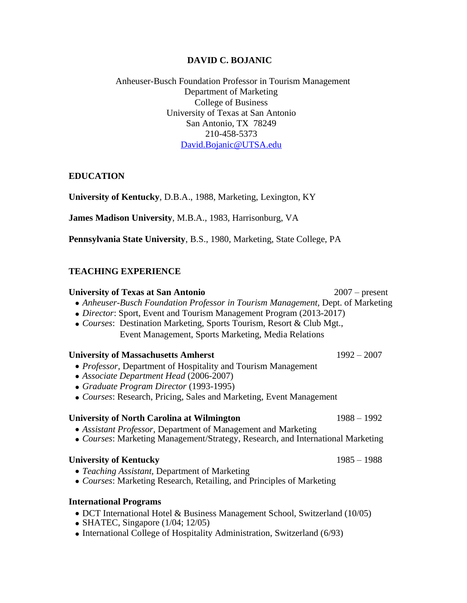## **DAVID C. BOJANIC**

## Anheuser-Busch Foundation Professor in Tourism Management Department of Marketing College of Business University of Texas at San Antonio San Antonio, TX 78249 210-458-5373 [David.Bojanic@UTSA.edu](mailto:David.Bojanic@UTSA.edu)

### **EDUCATION**

**University of Kentucky**, D.B.A., 1988, Marketing, Lexington, KY

**James Madison University**, M.B.A., 1983, Harrisonburg, VA

**Pennsylvania State University**, B.S., 1980, Marketing, State College, PA

## **TEACHING EXPERIENCE**

### **University of Texas at San Antonio** 2007 – present

- *Anheuser-Busch Foundation Professor in Tourism Management,* Dept. of Marketing
- *Director*: Sport, Event and Tourism Management Program (2013-2017)
- *Courses*: Destination Marketing, Sports Tourism, Resort & Club Mgt., Event Management, Sports Marketing, Media Relations

### **University of Massachusetts Amherst** 1992 – 2007

- *Professor*, Department of Hospitality and Tourism Management
- Associate Department Head (2006-2007)
- *Graduate Program Director* (1993-1995)
- *Courses*: Research, Pricing, Sales and Marketing, Event Management

### **University of North Carolina at Wilmington** 1988 – 1992

- *Assistant Professor,* Department of Management and Marketing
- *Courses*: Marketing Management/Strategy, Research, and International Marketing

### **University of Kentucky** 1985 – 1988

- *Teaching Assistant,* Department of Marketing
- *Courses*: Marketing Research, Retailing, and Principles of Marketing

### **International Programs**

- DCT International Hotel & Business Management School, Switzerland (10/05)
- SHATEC, Singapore (1/04; 12/05)
- International College of Hospitality Administration, Switzerland (6/93)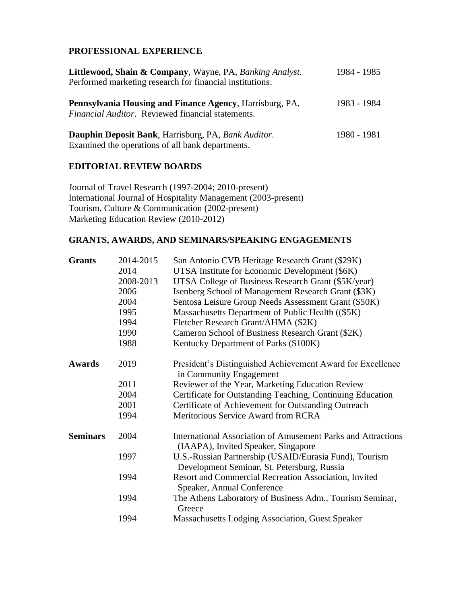# **PROFESSIONAL EXPERIENCE**

| Littlewood, Shain & Company, Wayne, PA, Banking Analyst.<br>Performed marketing research for financial institutions. | 1984 - 1985 |
|----------------------------------------------------------------------------------------------------------------------|-------------|
| Pennsylvania Housing and Finance Agency, Harrisburg, PA,<br><i>Financial Auditor.</i> Reviewed financial statements. | 1983 - 1984 |
| Dauphin Deposit Bank, Harrisburg, PA, Bank Auditor.<br>Examined the operations of all bank departments.              | 1980 - 1981 |

### **EDITORIAL REVIEW BOARDS**

Journal of Travel Research (1997-2004; 2010-present) International Journal of Hospitality Management (2003-present) Tourism, Culture & Communication (2002-present) Marketing Education Review (2010-2012)

# **GRANTS, AWARDS, AND SEMINARS/SPEAKING ENGAGEMENTS**

| <b>Grants</b>   | 2014-2015 | San Antonio CVB Heritage Research Grant (\$29K)                                                            |
|-----------------|-----------|------------------------------------------------------------------------------------------------------------|
|                 | 2014      | UTSA Institute for Economic Development (\$6K)                                                             |
|                 | 2008-2013 | UTSA College of Business Research Grant (\$5K/year)                                                        |
|                 | 2006      | Isenberg School of Management Research Grant (\$3K)                                                        |
|                 | 2004      | Sentosa Leisure Group Needs Assessment Grant (\$50K)                                                       |
|                 | 1995      | Massachusetts Department of Public Health ((\$5K)                                                          |
|                 | 1994      | Fletcher Research Grant/AHMA (\$2K)                                                                        |
|                 | 1990      | Cameron School of Business Research Grant (\$2K)                                                           |
|                 | 1988      | Kentucky Department of Parks (\$100K)                                                                      |
| <b>Awards</b>   | 2019      | President's Distinguished Achievement Award for Excellence<br>in Community Engagement                      |
|                 | 2011      | Reviewer of the Year, Marketing Education Review                                                           |
|                 | 2004      | Certificate for Outstanding Teaching, Continuing Education                                                 |
|                 | 2001      | Certificate of Achievement for Outstanding Outreach                                                        |
|                 | 1994      | Meritorious Service Award from RCRA                                                                        |
| <b>Seminars</b> | 2004      | <b>International Association of Amusement Parks and Attractions</b><br>(IAAPA), Invited Speaker, Singapore |
|                 | 1997      | U.S.-Russian Partnership (USAID/Eurasia Fund), Tourism<br>Development Seminar, St. Petersburg, Russia      |
|                 | 1994      | Resort and Commercial Recreation Association, Invited<br>Speaker, Annual Conference                        |
|                 | 1994      | The Athens Laboratory of Business Adm., Tourism Seminar,<br>Greece                                         |
|                 | 1994      | Massachusetts Lodging Association, Guest Speaker                                                           |
|                 |           |                                                                                                            |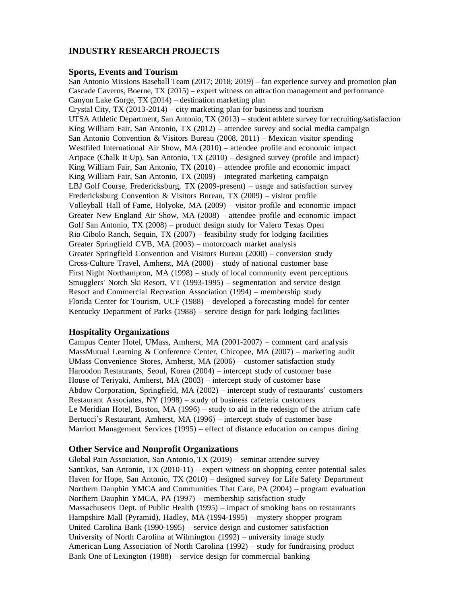### **INDUSTRY RESEARCH PROJECTS**

#### **Sports, Events and Tourism**

San Antonio Missions Baseball Team (2017; 2018; 2019) – fan experience survey and promotion plan Cascade Caverns, Boerne, TX (2015) – expert witness on attraction management and performance Canyon Lake Gorge, TX (2014) – destination marketing plan Crystal City, TX (2013-2014) – city marketing plan for business and tourism UTSA Athletic Department, San Antonio, TX (2013) – student athlete survey for recruiting/satisfaction King William Fair, San Antonio, TX (2012) – attendee survey and social media campaign San Antonio Convention & Visitors Bureau (2008, 2011) – Mexican visitor spending Westfiled International Air Show, MA (2010) – attendee profile and economic impact Artpace (Chalk It Up), San Antonio, TX (2010) – designed survey (profile and impact) King William Fair, San Antonio, TX (2010) – attendee profile and economic impact King William Fair, San Antonio, TX (2009) – integrated marketing campaign LBJ Golf Course, Fredericksburg, TX (2009-present) – usage and satisfaction survey Fredericksburg Convention & Visitors Bureau, TX (2009) – visitor profile Volleyball Hall of Fame, Holyoke, MA (2009) – visitor profile and economic impact Greater New England Air Show, MA (2008) – attendee profile and economic impact Golf San Antonio, TX (2008) – product design study for Valero Texas Open Rio Cibolo Ranch, Sequin, TX (2007) – feasibility study for lodging facilities Greater Springfield CVB, MA (2003) – motorcoach market analysis Greater Springfield Convention and Visitors Bureau (2000) – conversion study Cross-Culture Travel, Amherst, MA (2000) – study of national customer base First Night Northampton, MA (1998) – study of local community event perceptions Smugglers' Notch Ski Resort, VT (1993-1995) – segmentation and service design Resort and Commercial Recreation Association (1994) – membership study Florida Center for Tourism, UCF (1988) – developed a forecasting model for center Kentucky Department of Parks (1988) – service design for park lodging facilities

#### **Hospitality Organizations**

Campus Center Hotel, UMass, Amherst, MA (2001-2007) – comment card analysis MassMutual Learning & Conference Center, Chicopee, MA (2007) – marketing audit UMass Convenience Stores, Amherst, MA (2006) – customer satisfaction study Haroodon Restaurants, Seoul, Korea (2004) – intercept study of customer base House of Teriyaki, Amherst, MA (2003) – intercept study of customer base Abdow Corporation, Springfield, MA (2002) – intercept study of restaurants' customers Restaurant Associates, NY (1998) – study of business cafeteria customers Le Meridian Hotel, Boston, MA (1996) – study to aid in the redesign of the atrium cafe Bertucci's Restaurant, Amherst, MA (1996) – intercept study of customer base Marriott Management Services (1995) – effect of distance education on campus dining

### **Other Service and Nonprofit Organizations**

Global Pain Association, San Antonio, TX (2019) – seminar attendee survey Santikos, San Antonio, TX (2010-11) – expert witness on shopping center potential sales Haven for Hope, San Antonio, TX (2010) – designed survey for Life Safety Department Northern Dauphin YMCA and Communities That Care, PA (2004) – program evaluation Northern Dauphin YMCA, PA (1997) – membership satisfaction study Massachusetts Dept. of Public Health (1995) – impact of smoking bans on restaurants Hampshire Mall (Pyramid), Hadley, MA (1994-1995) – mystery shopper program United Carolina Bank (1990-1995) – service design and customer satisfaction University of North Carolina at Wilmington (1992) – university image study American Lung Association of North Carolina (1992) – study for fundraising product Bank One of Lexington (1988) – service design for commercial banking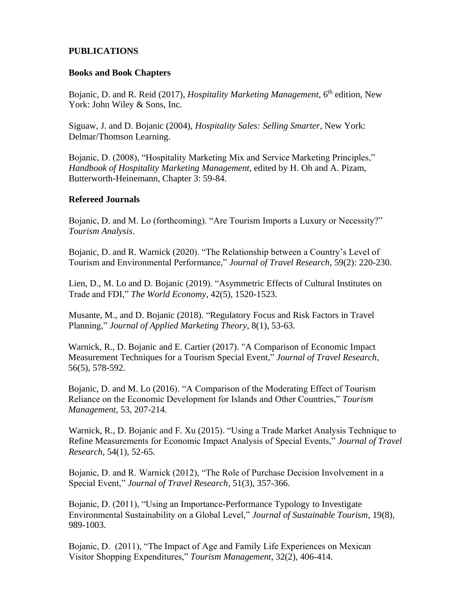# **PUBLICATIONS**

### **Books and Book Chapters**

Bojanic, D. and R. Reid (2017), *Hospitality Marketing Management*, 6<sup>th</sup> edition, New York: John Wiley & Sons, Inc.

Siguaw, J. and D. Bojanic (2004), *Hospitality Sales: Selling Smarter*, New York: Delmar/Thomson Learning.

Bojanic, D. (2008), "Hospitality Marketing Mix and Service Marketing Principles," *Handbook of Hospitality Marketing Management*, edited by H. Oh and A. Pizam, Butterworth-Heinemann, Chapter 3: 59-84.

### **Refereed Journals**

Bojanic, D. and M. Lo (forthcoming). "Are Tourism Imports a Luxury or Necessity?" *Tourism Analysis*.

Bojanic, D. and R. Warnick (2020). "The Relationship between a Country's Level of Tourism and Environmental Performance," *Journal of Travel Research*, 59(2): 220-230.

Lien, D., M. Lo and D. Bojanic (2019). "Asymmetric Effects of Cultural Institutes on Trade and FDI," *The World Economy*, 42(5), 1520-1523.

Musante, M., and D. Bojanic (2018). "Regulatory Focus and Risk Factors in Travel Planning," *Journal of Applied Marketing Theory*, 8(1), 53-63.

Warnick, R., D. Bojanic and E. Cartier (2017). "A Comparison of Economic Impact Measurement Techniques for a Tourism Special Event," *Journal of Travel Research*, 56(5), 578-592.

Bojanic, D. and M. Lo (2016). "A Comparison of the Moderating Effect of Tourism Reliance on the Economic Development for Islands and Other Countries," *Tourism Management*, 53, 207-214.

Warnick, R., D. Bojanic and F. Xu (2015). "Using a Trade Market Analysis Technique to Refine Measurements for Economic Impact Analysis of Special Events," *Journal of Travel Research*, 54(1), 52-65.

Bojanic, D. and R. Warnick (2012), "The Role of Purchase Decision Involvement in a Special Event," *Journal of Travel Research*, 51(3), 357-366.

Bojanic, D. (2011), "Using an Importance-Performance Typology to Investigate Environmental Sustainability on a Global Level," *Journal of Sustainable Tourism*, 19(8), 989-1003.

Bojanic, D. (2011), "The Impact of Age and Family Life Experiences on Mexican Visitor Shopping Expenditures," *Tourism Management*, 32(2), 406-414.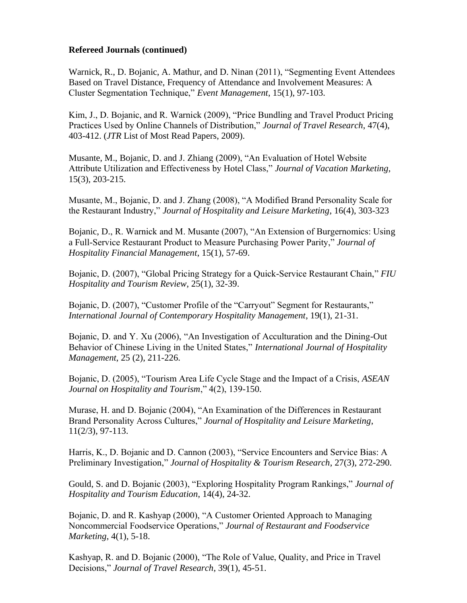### **Refereed Journals (continued)**

Warnick, R., D. Bojanic, A. Mathur, and D. Ninan (2011), "Segmenting Event Attendees Based on Travel Distance, Frequency of Attendance and Involvement Measures: A Cluster Segmentation Technique," *Event Management*, 15(1), 97-103.

Kim, J., D. Bojanic, and R. Warnick (2009), "Price Bundling and Travel Product Pricing Practices Used by Online Channels of Distribution," *Journal of Travel Research*, 47(4), 403-412. (*JTR* List of Most Read Papers, 2009).

Musante, M., Bojanic, D. and J. Zhiang (2009), "An Evaluation of Hotel Website Attribute Utilization and Effectiveness by Hotel Class," *Journal of Vacation Marketing*, 15(3), 203-215.

Musante, M., Bojanic, D. and J. Zhang (2008), "A Modified Brand Personality Scale for the Restaurant Industry," *Journal of Hospitality and Leisure Marketing*, 16(4), 303-323

Bojanic, D., R. Warnick and M. Musante (2007), "An Extension of Burgernomics: Using a Full-Service Restaurant Product to Measure Purchasing Power Parity," *Journal of Hospitality Financial Management*, 15(1), 57-69.

Bojanic, D. (2007), "Global Pricing Strategy for a Quick-Service Restaurant Chain," *FIU Hospitality and Tourism Review*, 25(1), 32-39.

Bojanic, D. (2007), "Customer Profile of the "Carryout" Segment for Restaurants," *International Journal of Contemporary Hospitality Management*, 19(1), 21-31.

Bojanic, D. and Y. Xu (2006), "An Investigation of Acculturation and the Dining-Out Behavior of Chinese Living in the United States," *International Journal of Hospitality Management*, 25 (2), 211-226.

Bojanic, D. (2005), "Tourism Area Life Cycle Stage and the Impact of a Crisis, *ASEAN Journal on Hospitality and Tourism*," 4(2), 139-150.

Murase, H. and D. Bojanic (2004), "An Examination of the Differences in Restaurant Brand Personality Across Cultures," *Journal of Hospitality and Leisure Marketing*, 11(2/3), 97-113.

Harris, K., D. Bojanic and D. Cannon (2003), "Service Encounters and Service Bias: A Preliminary Investigation," *Journal of Hospitality & Tourism Research*, 27(3), 272-290.

Gould, S. and D. Bojanic (2003), "Exploring Hospitality Program Rankings," *Journal of Hospitality and Tourism Education*, 14(4), 24-32.

Bojanic, D. and R. Kashyap (2000), "A Customer Oriented Approach to Managing Noncommercial Foodservice Operations," *Journal of Restaurant and Foodservice Marketing*, 4(1), 5-18.

Kashyap, R. and D. Bojanic (2000), "The Role of Value, Quality, and Price in Travel Decisions," *Journal of Travel Research*, 39(1), 45-51.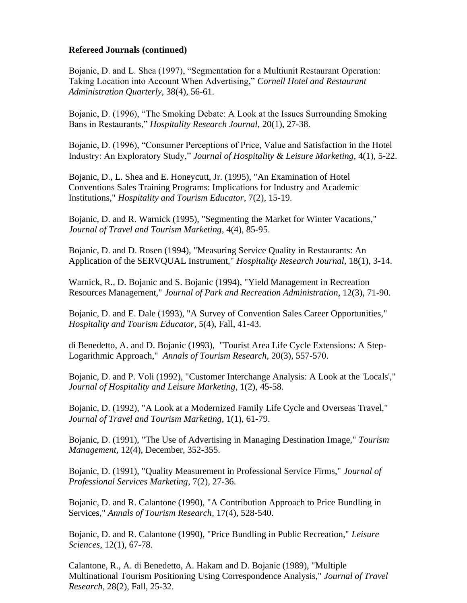### **Refereed Journals (continued)**

Bojanic, D. and L. Shea (1997), "Segmentation for a Multiunit Restaurant Operation: Taking Location into Account When Advertising," *Cornell Hotel and Restaurant Administration Quarterly*, 38(4), 56-61.

Bojanic, D. (1996), "The Smoking Debate: A Look at the Issues Surrounding Smoking Bans in Restaurants," *Hospitality Research Journal*, 20(1), 27-38.

Bojanic, D. (1996), "Consumer Perceptions of Price, Value and Satisfaction in the Hotel Industry: An Exploratory Study," *Journal of Hospitality & Leisure Marketing*, 4(1), 5-22.

Bojanic, D., L. Shea and E. Honeycutt, Jr. (1995), "An Examination of Hotel Conventions Sales Training Programs: Implications for Industry and Academic Institutions," *Hospitality and Tourism Educator*, 7(2), 15-19.

Bojanic, D. and R. Warnick (1995), "Segmenting the Market for Winter Vacations," *Journal of Travel and Tourism Marketing*, 4(4), 85-95.

Bojanic, D. and D. Rosen (1994), "Measuring Service Quality in Restaurants: An Application of the SERVQUAL Instrument," *Hospitality Research Journal*, 18(1), 3-14.

Warnick, R., D. Bojanic and S. Bojanic (1994), "Yield Management in Recreation Resources Management," *Journal of Park and Recreation Administration*, 12(3), 71-90.

Bojanic, D. and E. Dale (1993), "A Survey of Convention Sales Career Opportunities," *Hospitality and Tourism Educator*, 5(4), Fall, 41-43.

di Benedetto, A. and D. Bojanic (1993), "Tourist Area Life Cycle Extensions: A Step-Logarithmic Approach," *Annals of Tourism Research*, 20(3), 557-570.

Bojanic, D. and P. Voli (1992), "Customer Interchange Analysis: A Look at the 'Locals'," *Journal of Hospitality and Leisure Marketing*, 1(2), 45-58.

Bojanic, D. (1992), "A Look at a Modernized Family Life Cycle and Overseas Travel," *Journal of Travel and Tourism Marketing*, 1(1), 61-79.

Bojanic, D. (1991), "The Use of Advertising in Managing Destination Image," *Tourism Management*, 12(4), December, 352-355.

Bojanic, D. (1991), "Quality Measurement in Professional Service Firms," *Journal of Professional Services Marketing*, 7(2), 27-36.

Bojanic, D. and R. Calantone (1990), "A Contribution Approach to Price Bundling in Services," *Annals of Tourism Research*, 17(4), 528-540.

Bojanic, D. and R. Calantone (1990), "Price Bundling in Public Recreation," *Leisure Sciences*, 12(1), 67-78.

Calantone, R., A. di Benedetto, A. Hakam and D. Bojanic (1989), "Multiple Multinational Tourism Positioning Using Correspondence Analysis," *Journal of Travel Research*, 28(2), Fall, 25-32.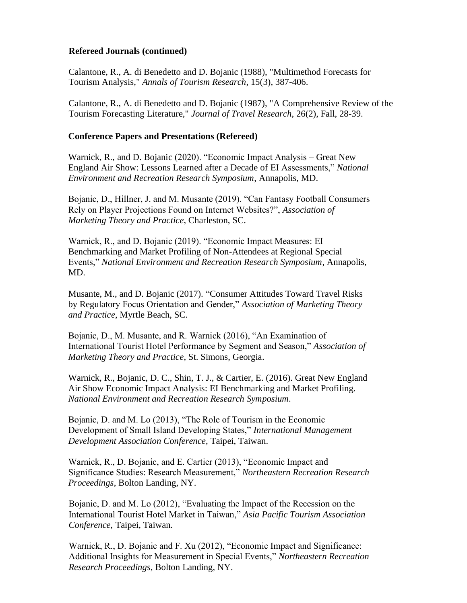## **Refereed Journals (continued)**

Calantone, R., A. di Benedetto and D. Bojanic (1988), "Multimethod Forecasts for Tourism Analysis," *Annals of Tourism Research*, 15(3), 387-406.

Calantone, R., A. di Benedetto and D. Bojanic (1987), "A Comprehensive Review of the Tourism Forecasting Literature," *Journal of Travel Research*, 26(2), Fall, 28-39.

## **Conference Papers and Presentations (Refereed)**

Warnick, R., and D. Bojanic (2020). "Economic Impact Analysis – Great New England Air Show: Lessons Learned after a Decade of EI Assessments," *National Environment and Recreation Research Symposium*, Annapolis, MD.

Bojanic, D., Hillner, J. and M. Musante (2019). "Can Fantasy Football Consumers Rely on Player Projections Found on Internet Websites?", *Association of Marketing Theory and Practice*, Charleston, SC.

Warnick, R., and D. Bojanic (2019). "Economic Impact Measures: EI Benchmarking and Market Profiling of Non-Attendees at Regional Special Events," *National Environment and Recreation Research Symposium*, Annapolis, MD.

Musante, M., and D. Bojanic (2017). "Consumer Attitudes Toward Travel Risks by Regulatory Focus Orientation and Gender," *Association of Marketing Theory and Practice*, Myrtle Beach, SC.

Bojanic, D., M. Musante, and R. Warnick (2016), "An Examination of International Tourist Hotel Performance by Segment and Season," *Association of Marketing Theory and Practice*, St. Simons, Georgia.

Warnick, R., Bojanic, D. C., Shin, T. J., & Cartier, E. (2016). Great New England Air Show Economic Impact Analysis: EI Benchmarking and Market Profiling. *National Environment and Recreation Research Symposium*.

Bojanic, D. and M. Lo (2013), "The Role of Tourism in the Economic Development of Small Island Developing States," *International Management Development Association Conference*, Taipei, Taiwan.

Warnick, R., D. Bojanic, and E. Cartier (2013), "Economic Impact and Significance Studies: Research Measurement," *Northeastern Recreation Research Proceedings*, Bolton Landing, NY.

Bojanic, D. and M. Lo (2012), "Evaluating the Impact of the Recession on the International Tourist Hotel Market in Taiwan," *Asia Pacific Tourism Association Conference*, Taipei, Taiwan.

Warnick, R., D. Bojanic and F. Xu (2012), "Economic Impact and Significance: Additional Insights for Measurement in Special Events," *Northeastern Recreation Research Proceedings*, Bolton Landing, NY.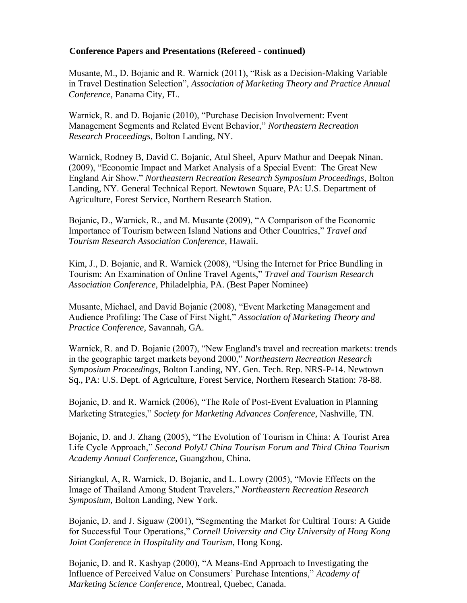Musante, M., D. Bojanic and R. Warnick (2011), "Risk as a Decision-Making Variable in Travel Destination Selection", *Association of Marketing Theory and Practice Annual Conference*, Panama City, FL.

Warnick, R. and D. Bojanic (2010), "Purchase Decision Involvement: Event Management Segments and Related Event Behavior," *Northeastern Recreation Research Proceedings*, Bolton Landing, NY.

Warnick, Rodney B, David C. Bojanic, Atul Sheel, Apurv Mathur and Deepak Ninan. (2009), "Economic Impact and Market Analysis of a Special Event: The Great New England Air Show." *Northeastern Recreation Research Symposium Proceedings*, Bolton Landing, NY. General Technical Report. Newtown Square, PA: U.S. Department of Agriculture, Forest Service, Northern Research Station.

Bojanic, D., Warnick, R., and M. Musante (2009), "A Comparison of the Economic Importance of Tourism between Island Nations and Other Countries," *Travel and Tourism Research Association Conference*, Hawaii.

Kim, J., D. Bojanic, and R. Warnick (2008), "Using the Internet for Price Bundling in Tourism: An Examination of Online Travel Agents," *Travel and Tourism Research Association Conference*, Philadelphia, PA. (Best Paper Nominee)

Musante, Michael, and David Bojanic (2008), "Event Marketing Management and Audience Profiling: The Case of First Night," *Association of Marketing Theory and Practice Conference*, Savannah, GA.

Warnick, R. and D. Bojanic (2007), "New England's travel and recreation markets: trends in the geographic target markets beyond 2000," *Northeastern Recreation Research Symposium Proceedings*, Bolton Landing, NY. Gen. Tech. Rep. NRS-P-14. Newtown Sq., PA: U.S. Dept. of Agriculture, Forest Service, Northern Research Station: 78-88.

Bojanic, D. and R. Warnick (2006), "The Role of Post-Event Evaluation in Planning Marketing Strategies," *Society for Marketing Advances Conference*, Nashville, TN.

Bojanic, D. and J. Zhang (2005), "The Evolution of Tourism in China: A Tourist Area Life Cycle Approach," *Second PolyU China Tourism Forum and Third China Tourism Academy Annual Conference*, Guangzhou, China.

Siriangkul, A, R. Warnick, D. Bojanic, and L. Lowry (2005), "Movie Effects on the Image of Thailand Among Student Travelers," *Northeastern Recreation Research Symposium,* Bolton Landing, New York.

Bojanic, D. and J. Siguaw (2001), "Segmenting the Market for Cultiral Tours: A Guide for Successful Tour Operations," *Cornell University and City University of Hong Kong Joint Conference in Hospitality and Tourism*, Hong Kong.

Bojanic, D. and R. Kashyap (2000), "A Means-End Approach to Investigating the Influence of Perceived Value on Consumers' Purchase Intentions," *Academy of Marketing Science Conference*, Montreal, Quebec, Canada.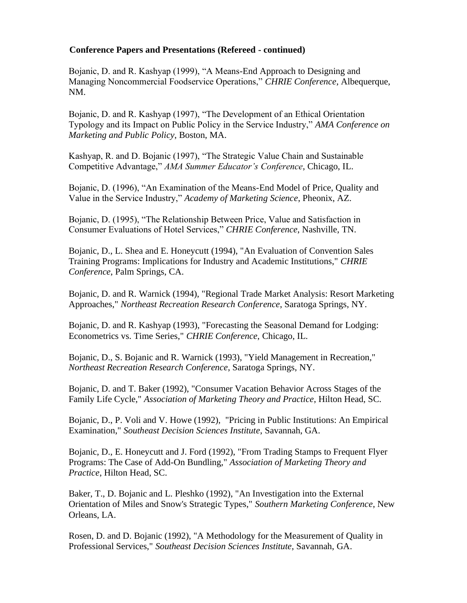Bojanic, D. and R. Kashyap (1999), "A Means-End Approach to Designing and Managing Noncommercial Foodservice Operations," *CHRIE Conference*, Albequerque, NM.

Bojanic, D. and R. Kashyap (1997), "The Development of an Ethical Orientation Typology and its Impact on Public Policy in the Service Industry," *AMA Conference on Marketing and Public Policy*, Boston, MA.

Kashyap, R. and D. Bojanic (1997), "The Strategic Value Chain and Sustainable Competitive Advantage," *AMA Summer Educator's Conference*, Chicago, IL.

Bojanic, D. (1996), "An Examination of the Means-End Model of Price, Quality and Value in the Service Industry," *Academy of Marketing Science*, Pheonix, AZ.

Bojanic, D. (1995), "The Relationship Between Price, Value and Satisfaction in Consumer Evaluations of Hotel Services," *CHRIE Conference*, Nashville, TN.

Bojanic, D., L. Shea and E. Honeycutt (1994), "An Evaluation of Convention Sales Training Programs: Implications for Industry and Academic Institutions," *CHRIE Conference*, Palm Springs, CA.

Bojanic, D. and R. Warnick (1994), "Regional Trade Market Analysis: Resort Marketing Approaches," *Northeast Recreation Research Conference*, Saratoga Springs, NY.

Bojanic, D. and R. Kashyap (1993), "Forecasting the Seasonal Demand for Lodging: Econometrics vs. Time Series," *CHRIE Conference*, Chicago, IL.

Bojanic, D., S. Bojanic and R. Warnick (1993), "Yield Management in Recreation," *Northeast Recreation Research Conference*, Saratoga Springs, NY.

Bojanic, D. and T. Baker (1992), "Consumer Vacation Behavior Across Stages of the Family Life Cycle," *Association of Marketing Theory and Practice*, Hilton Head, SC.

Bojanic, D., P. Voli and V. Howe (1992), "Pricing in Public Institutions: An Empirical Examination," *Southeast Decision Sciences Institute*, Savannah, GA.

Bojanic, D., E. Honeycutt and J. Ford (1992), "From Trading Stamps to Frequent Flyer Programs: The Case of Add-On Bundling," *Association of Marketing Theory and Practice*, Hilton Head, SC.

Baker, T., D. Bojanic and L. Pleshko (1992), "An Investigation into the External Orientation of Miles and Snow's Strategic Types," *Southern Marketing Conference*, New Orleans, LA.

Rosen, D. and D. Bojanic (1992), "A Methodology for the Measurement of Quality in Professional Services," *Southeast Decision Sciences Institute*, Savannah, GA.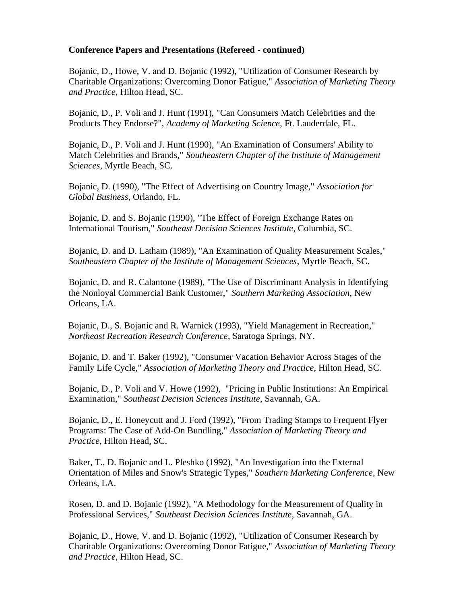Bojanic, D., Howe, V. and D. Bojanic (1992), "Utilization of Consumer Research by Charitable Organizations: Overcoming Donor Fatigue," *Association of Marketing Theory and Practice*, Hilton Head, SC.

Bojanic, D., P. Voli and J. Hunt (1991), "Can Consumers Match Celebrities and the Products They Endorse?", *Academy of Marketing Science*, Ft. Lauderdale, FL.

Bojanic, D., P. Voli and J. Hunt (1990), "An Examination of Consumers' Ability to Match Celebrities and Brands," *Southeastern Chapter of the Institute of Management Sciences*, Myrtle Beach, SC.

Bojanic, D. (1990), "The Effect of Advertising on Country Image," *Association for Global Business*, Orlando, FL.

Bojanic, D. and S. Bojanic (1990), "The Effect of Foreign Exchange Rates on International Tourism," *Southeast Decision Sciences Institute*, Columbia, SC.

Bojanic, D. and D. Latham (1989), "An Examination of Quality Measurement Scales," *Southeastern Chapter of the Institute of Management Sciences*, Myrtle Beach, SC.

Bojanic, D. and R. Calantone (1989), "The Use of Discriminant Analysis in Identifying the Nonloyal Commercial Bank Customer," *Southern Marketing Association*, New Orleans, LA.

Bojanic, D., S. Bojanic and R. Warnick (1993), "Yield Management in Recreation," *Northeast Recreation Research Conference*, Saratoga Springs, NY.

Bojanic, D. and T. Baker (1992), "Consumer Vacation Behavior Across Stages of the Family Life Cycle," *Association of Marketing Theory and Practice*, Hilton Head, SC.

Bojanic, D., P. Voli and V. Howe (1992), "Pricing in Public Institutions: An Empirical Examination," *Southeast Decision Sciences Institute*, Savannah, GA.

Bojanic, D., E. Honeycutt and J. Ford (1992), "From Trading Stamps to Frequent Flyer Programs: The Case of Add-On Bundling," *Association of Marketing Theory and Practice*, Hilton Head, SC.

Baker, T., D. Bojanic and L. Pleshko (1992), "An Investigation into the External Orientation of Miles and Snow's Strategic Types," *Southern Marketing Conference*, New Orleans, LA.

Rosen, D. and D. Bojanic (1992), "A Methodology for the Measurement of Quality in Professional Services," *Southeast Decision Sciences Institute*, Savannah, GA.

Bojanic, D., Howe, V. and D. Bojanic (1992), "Utilization of Consumer Research by Charitable Organizations: Overcoming Donor Fatigue," *Association of Marketing Theory and Practice*, Hilton Head, SC.